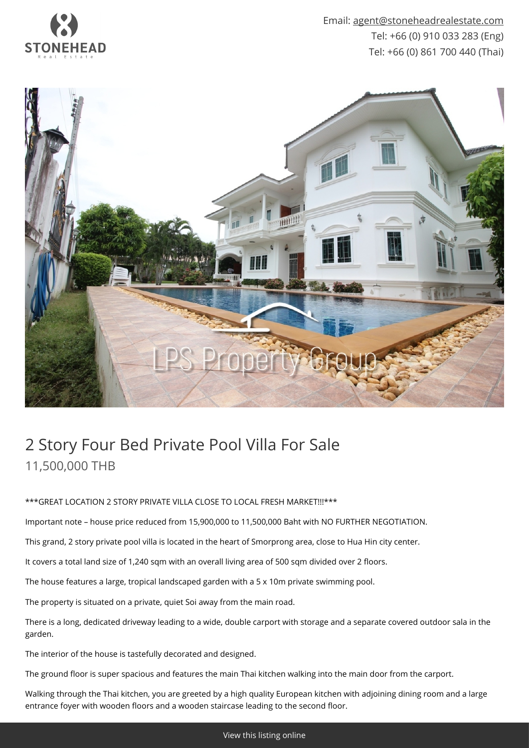

Email: [agent@stoneheadrealestate.com](mailto:agent@stoneheadrealestate.com) Tel: +66 (0) 910 033 283 (Eng) Tel: +66 (0) 861 700 440 (Thai)



## 2 Story Four Bed Private Pool Villa For Sale 11,500,000 THB

\*\*\*GREAT LOCATION 2 STORY PRIVATE VILLA CLOSE TO LOCAL FRESH MARKET!!!\*\*\*

Important note – house price reduced from 15,900,000 to 11,500,000 Baht with NO FURTHER NEGOTIATION.

This grand, 2 story private pool villa is located in the heart of Smorprong area, close to Hua Hin city center.

It covers a total land size of 1,240 sqm with an overall living area of 500 sqm divided over 2 floors.

The house features a large, tropical landscaped garden with a 5 x 10m private swimming pool.

The property is situated on a private, quiet Soi away from the main road.

There is a long, dedicated driveway leading to a wide, double carport with storage and a separate covered outdoor sala in the garden.

The interior of the house is tastefully decorated and designed.

The ground floor is super spacious and features the main Thai kitchen walking into the main door from the carport.

Walking through the Thai kitchen, you are greeted by a high quality European kitchen with adjoining dining room and a large entrance foyer with wooden floors and a wooden staircase leading to the second floor.

[View this listing online](https://www.stoneheadrealestate.com/properties/2-story-four-bed-private-pool-villa-for-sale/)